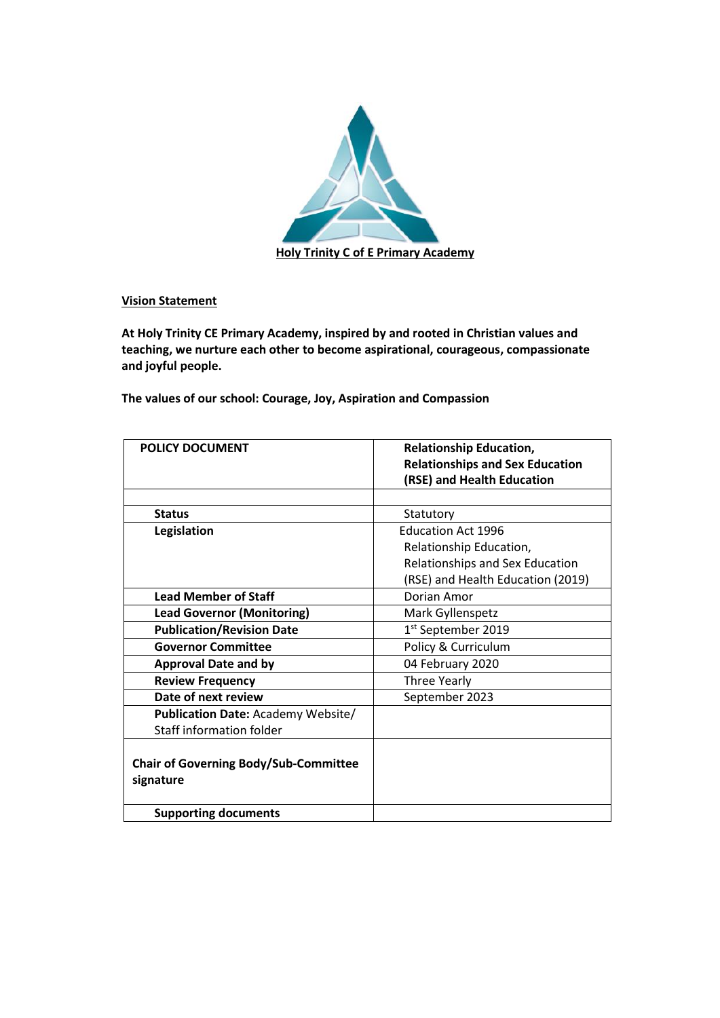

**Vision Statement**

**At Holy Trinity CE Primary Academy, inspired by and rooted in Christian values and teaching, we nurture each other to become aspirational, courageous, compassionate and joyful people.**

**The values of our school: Courage, Joy, Aspiration and Compassion**

| <b>POLICY DOCUMENT</b>                       | <b>Relationship Education,</b>         |
|----------------------------------------------|----------------------------------------|
|                                              | <b>Relationships and Sex Education</b> |
|                                              | (RSE) and Health Education             |
|                                              |                                        |
| <b>Status</b>                                | Statutory                              |
| Legislation                                  | <b>Education Act 1996</b>              |
|                                              | Relationship Education,                |
|                                              | Relationships and Sex Education        |
|                                              | (RSE) and Health Education (2019)      |
| <b>Lead Member of Staff</b>                  | Dorian Amor                            |
| <b>Lead Governor (Monitoring)</b>            | Mark Gyllenspetz                       |
| <b>Publication/Revision Date</b>             | 1 <sup>st</sup> September 2019         |
| <b>Governor Committee</b>                    | Policy & Curriculum                    |
| <b>Approval Date and by</b>                  | 04 February 2020                       |
| <b>Review Frequency</b>                      | Three Yearly                           |
| Date of next review                          | September 2023                         |
| <b>Publication Date: Academy Website/</b>    |                                        |
| Staff information folder                     |                                        |
|                                              |                                        |
| <b>Chair of Governing Body/Sub-Committee</b> |                                        |
| signature                                    |                                        |
| <b>Supporting documents</b>                  |                                        |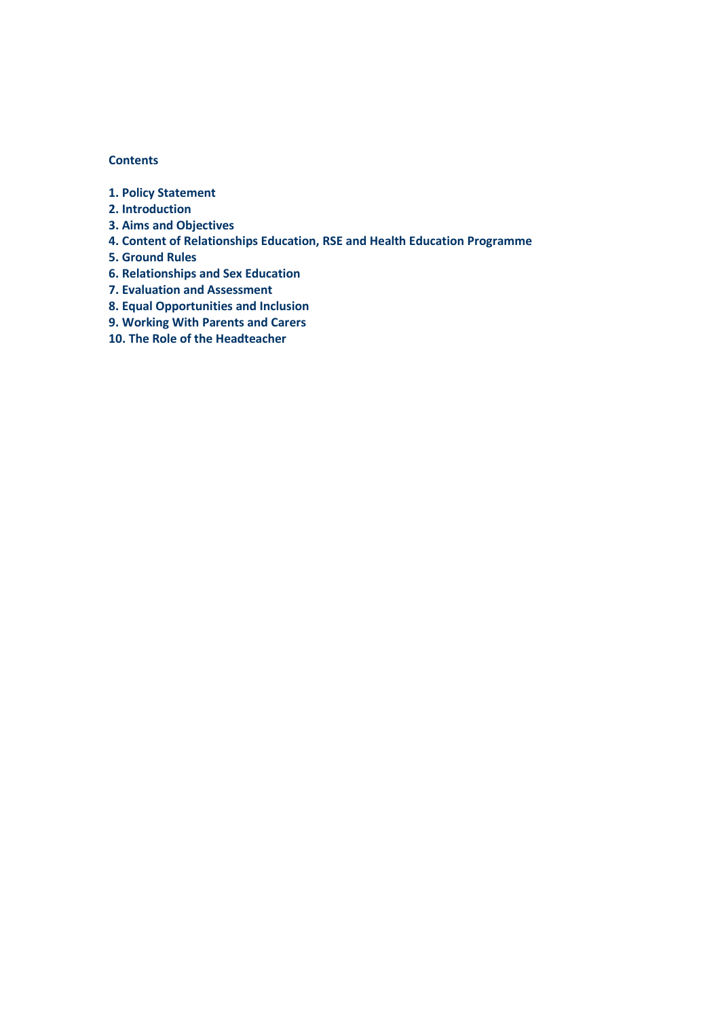### **Contents**

- **1. Policy Statement**
- **2. Introduction**
- **3. Aims and Objectives**
- **4. Content of Relationships Education, RSE and Health Education Programme**
- **5. Ground Rules**
- **6. Relationships and Sex Education**
- **7. Evaluation and Assessment**
- **8. Equal Opportunities and Inclusion**
- **9. Working With Parents and Carers**
- **10. The Role of the Headteacher**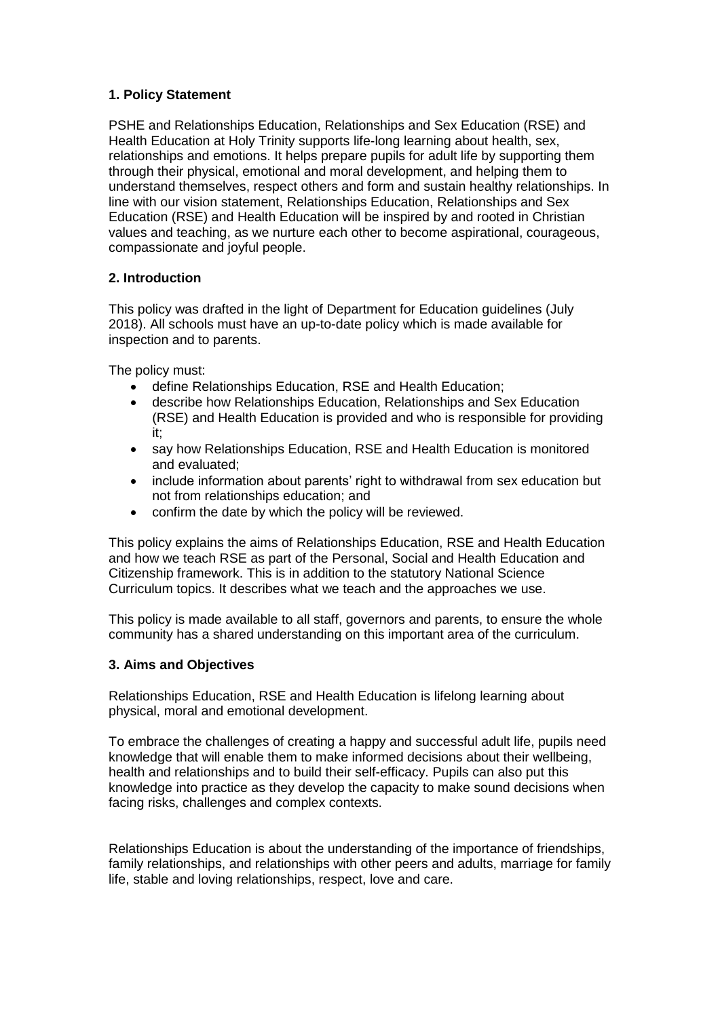# **1. Policy Statement**

PSHE and Relationships Education, Relationships and Sex Education (RSE) and Health Education at Holy Trinity supports life-long learning about health, sex, relationships and emotions. It helps prepare pupils for adult life by supporting them through their physical, emotional and moral development, and helping them to understand themselves, respect others and form and sustain healthy relationships. In line with our vision statement, Relationships Education, Relationships and Sex Education (RSE) and Health Education will be inspired by and rooted in Christian values and teaching, as we nurture each other to become aspirational, courageous, compassionate and joyful people.

# **2. Introduction**

This policy was drafted in the light of Department for Education guidelines (July 2018). All schools must have an up-to-date policy which is made available for inspection and to parents.

The policy must:

- define Relationships Education, RSE and Health Education;
- describe how Relationships Education, Relationships and Sex Education (RSE) and Health Education is provided and who is responsible for providing it;
- say how Relationships Education, RSE and Health Education is monitored and evaluated;
- include information about parents' right to withdrawal from sex education but not from relationships education; and
- confirm the date by which the policy will be reviewed.

This policy explains the aims of Relationships Education, RSE and Health Education and how we teach RSE as part of the Personal, Social and Health Education and Citizenship framework. This is in addition to the statutory National Science Curriculum topics. It describes what we teach and the approaches we use.

This policy is made available to all staff, governors and parents, to ensure the whole community has a shared understanding on this important area of the curriculum.

# **3. Aims and Objectives**

Relationships Education, RSE and Health Education is lifelong learning about physical, moral and emotional development.

To embrace the challenges of creating a happy and successful adult life, pupils need knowledge that will enable them to make informed decisions about their wellbeing, health and relationships and to build their self-efficacy. Pupils can also put this knowledge into practice as they develop the capacity to make sound decisions when facing risks, challenges and complex contexts.

Relationships Education is about the understanding of the importance of friendships, family relationships, and relationships with other peers and adults, marriage for family life, stable and loving relationships, respect, love and care.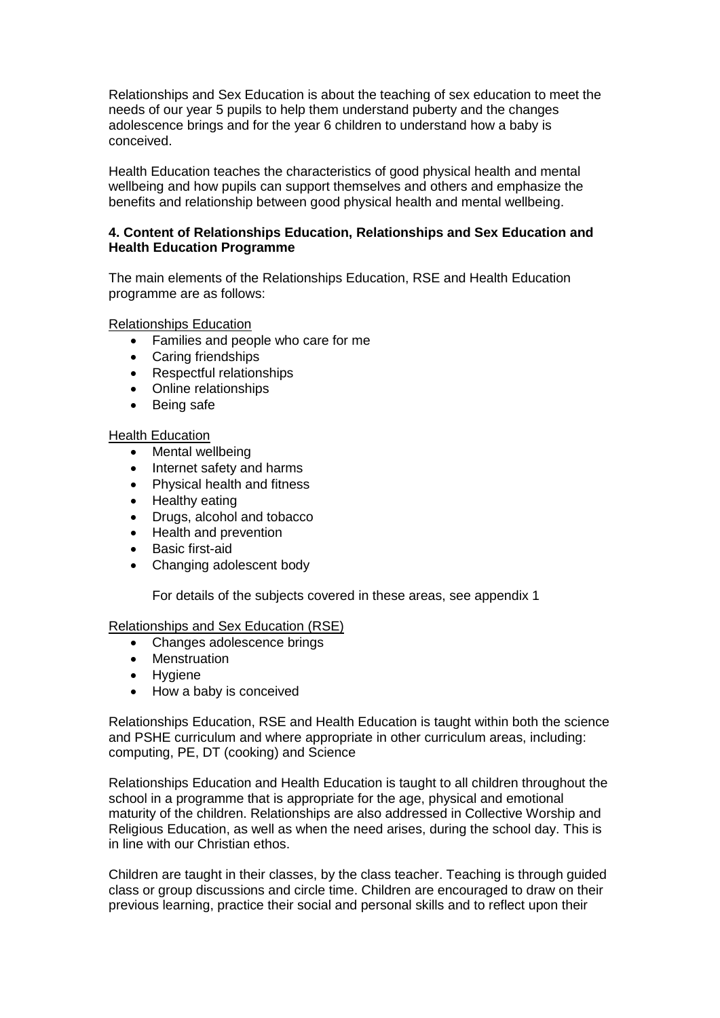Relationships and Sex Education is about the teaching of sex education to meet the needs of our year 5 pupils to help them understand puberty and the changes adolescence brings and for the year 6 children to understand how a baby is conceived.

Health Education teaches the characteristics of good physical health and mental wellbeing and how pupils can support themselves and others and emphasize the benefits and relationship between good physical health and mental wellbeing.

# **4. Content of Relationships Education, Relationships and Sex Education and Health Education Programme**

The main elements of the Relationships Education, RSE and Health Education programme are as follows:

Relationships Education

- Families and people who care for me
- Caring friendships
- Respectful relationships
- Online relationships
- Being safe

#### Health Education

- Mental wellbeing
- Internet safety and harms
- Physical health and fitness
- Healthy eating
- Drugs, alcohol and tobacco
- Health and prevention
- Basic first-aid
- Changing adolescent body

For details of the subjects covered in these areas, see appendix 1

#### Relationships and Sex Education (RSE)

- Changes adolescence brings
- Menstruation
- Hygiene
- How a baby is conceived

Relationships Education, RSE and Health Education is taught within both the science and PSHE curriculum and where appropriate in other curriculum areas, including: computing, PE, DT (cooking) and Science

Relationships Education and Health Education is taught to all children throughout the school in a programme that is appropriate for the age, physical and emotional maturity of the children. Relationships are also addressed in Collective Worship and Religious Education, as well as when the need arises, during the school day. This is in line with our Christian ethos.

Children are taught in their classes, by the class teacher. Teaching is through guided class or group discussions and circle time. Children are encouraged to draw on their previous learning, practice their social and personal skills and to reflect upon their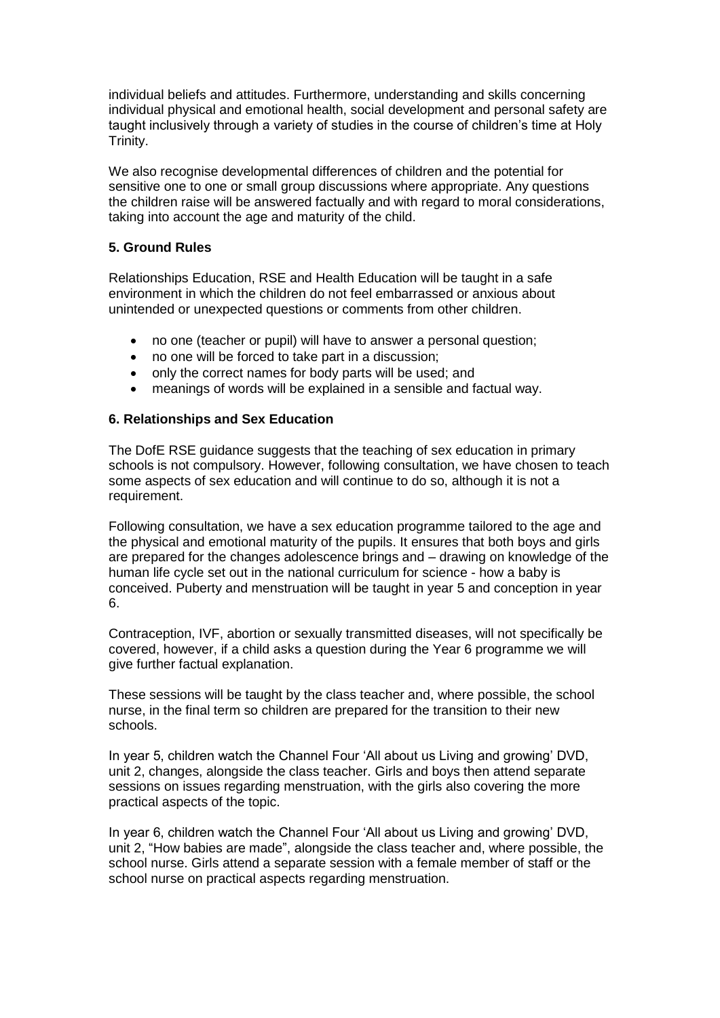individual beliefs and attitudes. Furthermore, understanding and skills concerning individual physical and emotional health, social development and personal safety are taught inclusively through a variety of studies in the course of children's time at Holy Trinity.

We also recognise developmental differences of children and the potential for sensitive one to one or small group discussions where appropriate. Any questions the children raise will be answered factually and with regard to moral considerations, taking into account the age and maturity of the child.

### **5. Ground Rules**

Relationships Education, RSE and Health Education will be taught in a safe environment in which the children do not feel embarrassed or anxious about unintended or unexpected questions or comments from other children.

- no one (teacher or pupil) will have to answer a personal question;
- no one will be forced to take part in a discussion:
- only the correct names for body parts will be used; and
- meanings of words will be explained in a sensible and factual way.

#### **6. Relationships and Sex Education**

The DofE RSE guidance suggests that the teaching of sex education in primary schools is not compulsory. However, following consultation, we have chosen to teach some aspects of sex education and will continue to do so, although it is not a requirement.

Following consultation, we have a sex education programme tailored to the age and the physical and emotional maturity of the pupils. It ensures that both boys and girls are prepared for the changes adolescence brings and – drawing on knowledge of the human life cycle set out in the national curriculum for science - how a baby is conceived. Puberty and menstruation will be taught in year 5 and conception in year 6.

Contraception, IVF, abortion or sexually transmitted diseases, will not specifically be covered, however, if a child asks a question during the Year 6 programme we will give further factual explanation.

These sessions will be taught by the class teacher and, where possible, the school nurse, in the final term so children are prepared for the transition to their new schools.

In year 5, children watch the Channel Four 'All about us Living and growing' DVD, unit 2, changes, alongside the class teacher. Girls and boys then attend separate sessions on issues regarding menstruation, with the girls also covering the more practical aspects of the topic.

In year 6, children watch the Channel Four 'All about us Living and growing' DVD, unit 2, "How babies are made", alongside the class teacher and, where possible, the school nurse. Girls attend a separate session with a female member of staff or the school nurse on practical aspects regarding menstruation.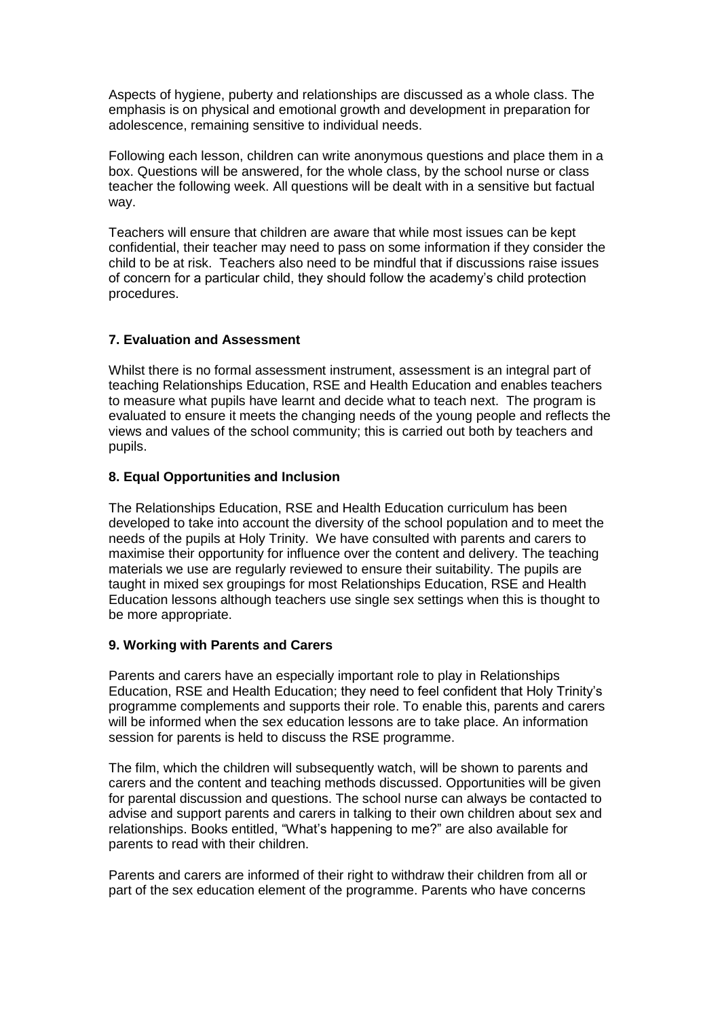Aspects of hygiene, puberty and relationships are discussed as a whole class. The emphasis is on physical and emotional growth and development in preparation for adolescence, remaining sensitive to individual needs.

Following each lesson, children can write anonymous questions and place them in a box. Questions will be answered, for the whole class, by the school nurse or class teacher the following week. All questions will be dealt with in a sensitive but factual way.

Teachers will ensure that children are aware that while most issues can be kept confidential, their teacher may need to pass on some information if they consider the child to be at risk. Teachers also need to be mindful that if discussions raise issues of concern for a particular child, they should follow the academy's child protection procedures.

# **7. Evaluation and Assessment**

Whilst there is no formal assessment instrument, assessment is an integral part of teaching Relationships Education, RSE and Health Education and enables teachers to measure what pupils have learnt and decide what to teach next. The program is evaluated to ensure it meets the changing needs of the young people and reflects the views and values of the school community; this is carried out both by teachers and pupils.

# **8. Equal Opportunities and Inclusion**

The Relationships Education, RSE and Health Education curriculum has been developed to take into account the diversity of the school population and to meet the needs of the pupils at Holy Trinity. We have consulted with parents and carers to maximise their opportunity for influence over the content and delivery. The teaching materials we use are regularly reviewed to ensure their suitability. The pupils are taught in mixed sex groupings for most Relationships Education, RSE and Health Education lessons although teachers use single sex settings when this is thought to be more appropriate.

# **9. Working with Parents and Carers**

Parents and carers have an especially important role to play in Relationships Education, RSE and Health Education; they need to feel confident that Holy Trinity's programme complements and supports their role. To enable this, parents and carers will be informed when the sex education lessons are to take place. An information session for parents is held to discuss the RSE programme.

The film, which the children will subsequently watch, will be shown to parents and carers and the content and teaching methods discussed. Opportunities will be given for parental discussion and questions. The school nurse can always be contacted to advise and support parents and carers in talking to their own children about sex and relationships. Books entitled, "What's happening to me?" are also available for parents to read with their children.

Parents and carers are informed of their right to withdraw their children from all or part of the sex education element of the programme. Parents who have concerns